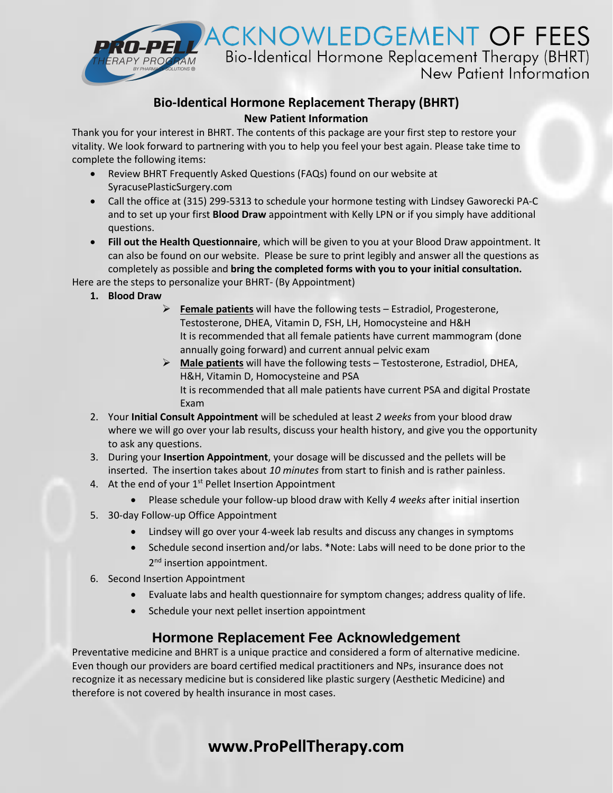

## **Bio-Identical Hormone Replacement Therapy (BHRT) New Patient Information**

Thank you for your interest in BHRT. The contents of this package are your first step to restore your vitality. We look forward to partnering with you to help you feel your best again. Please take time to complete the following items:

- Review BHRT Frequently Asked Questions (FAQs) found on our website at SyracusePlasticSurgery.com
- Call the office at (315) 299-5313 to schedule your hormone testing with Lindsey Gaworecki PA-C and to set up your first **Blood Draw** appointment with Kelly LPN or if you simply have additional questions.
- **Fill out the Health Questionnaire**, which will be given to you at your Blood Draw appointment. It can also be found on our website. Please be sure to print legibly and answer all the questions as completely as possible and **bring the completed forms with you to your initial consultation.**

Here are the steps to personalize your BHRT- (By Appointment)

- **1. Blood Draw**
	- ➢ **Female patients** will have the following tests Estradiol, Progesterone, Testosterone, DHEA, Vitamin D, FSH, LH, Homocysteine and H&H It is recommended that all female patients have current mammogram (done annually going forward) and current annual pelvic exam
	- ➢ **Male patients** will have the following tests Testosterone, Estradiol, DHEA, H&H, Vitamin D, Homocysteine and PSA It is recommended that all male patients have current PSA and digital Prostate Exam
- 2. Your **Initial Consult Appointment** will be scheduled at least *2 weeks* from your blood draw where we will go over your lab results, discuss your health history, and give you the opportunity to ask any questions.
- 3. During your **Insertion Appointment**, your dosage will be discussed and the pellets will be inserted. The insertion takes about *10 minutes* from start to finish and is rather painless.
- 4. At the end of your  $1<sup>st</sup>$  Pellet Insertion Appointment
	- Please schedule your follow-up blood draw with Kelly *4 weeks* after initial insertion
- 5. 30-day Follow-up Office Appointment
	- Lindsey will go over your 4-week lab results and discuss any changes in symptoms
	- Schedule second insertion and/or labs. \*Note: Labs will need to be done prior to the 2<sup>nd</sup> insertion appointment.
- 6. Second Insertion Appointment
	- Evaluate labs and health questionnaire for symptom changes; address quality of life.
	- Schedule your next pellet insertion appointment

## **Hormone Replacement Fee Acknowledgement**

Preventative medicine and BHRT is a unique practice and considered a form of alternative medicine. Even though our providers are board certified medical practitioners and NPs, insurance does not recognize it as necessary medicine but is considered like plastic surgery (Aesthetic Medicine) and therefore is not covered by health insurance in most cases.

## **www.ProPellTherapy.com**